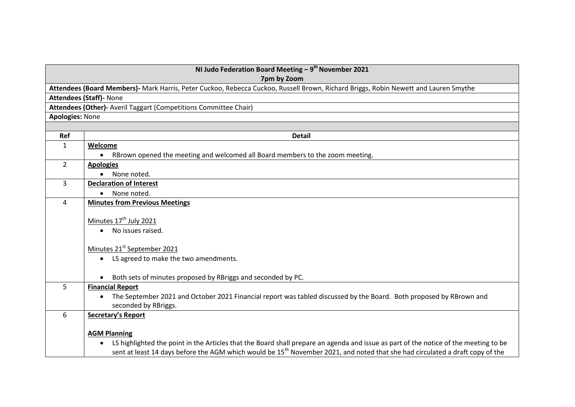| NI Judo Federation Board Meeting $-9^{th}$ November 2021<br>7pm by Zoom                                                             |                                                                                                                                           |  |  |
|-------------------------------------------------------------------------------------------------------------------------------------|-------------------------------------------------------------------------------------------------------------------------------------------|--|--|
| Attendees (Board Members)- Mark Harris, Peter Cuckoo, Rebecca Cuckoo, Russell Brown, Richard Briggs, Robin Newett and Lauren Smythe |                                                                                                                                           |  |  |
|                                                                                                                                     | <b>Attendees (Staff)- None</b>                                                                                                            |  |  |
| Attendees (Other)- Averil Taggart (Competitions Committee Chair)                                                                    |                                                                                                                                           |  |  |
| <b>Apologies: None</b>                                                                                                              |                                                                                                                                           |  |  |
|                                                                                                                                     |                                                                                                                                           |  |  |
| Ref                                                                                                                                 | <b>Detail</b>                                                                                                                             |  |  |
| $\mathbf{1}$                                                                                                                        | Welcome                                                                                                                                   |  |  |
|                                                                                                                                     | RBrown opened the meeting and welcomed all Board members to the zoom meeting.<br>$\bullet$                                                |  |  |
| $\overline{2}$                                                                                                                      | <b>Apologies</b>                                                                                                                          |  |  |
|                                                                                                                                     | None noted.                                                                                                                               |  |  |
| 3                                                                                                                                   | <b>Declaration of Interest</b>                                                                                                            |  |  |
|                                                                                                                                     | None noted.                                                                                                                               |  |  |
| 4                                                                                                                                   | <b>Minutes from Previous Meetings</b>                                                                                                     |  |  |
|                                                                                                                                     |                                                                                                                                           |  |  |
|                                                                                                                                     | Minutes 17 <sup>th</sup> July 2021                                                                                                        |  |  |
|                                                                                                                                     | No issues raised.<br>$\bullet$                                                                                                            |  |  |
|                                                                                                                                     | Minutes 21 <sup>st</sup> September 2021                                                                                                   |  |  |
|                                                                                                                                     |                                                                                                                                           |  |  |
|                                                                                                                                     | • LS agreed to make the two amendments.                                                                                                   |  |  |
|                                                                                                                                     | Both sets of minutes proposed by RBriggs and seconded by PC.                                                                              |  |  |
| 5                                                                                                                                   | <b>Financial Report</b>                                                                                                                   |  |  |
|                                                                                                                                     | The September 2021 and October 2021 Financial report was tabled discussed by the Board. Both proposed by RBrown and                       |  |  |
|                                                                                                                                     | seconded by RBriggs.                                                                                                                      |  |  |
| 6                                                                                                                                   | <b>Secretary's Report</b>                                                                                                                 |  |  |
|                                                                                                                                     |                                                                                                                                           |  |  |
|                                                                                                                                     | <b>AGM Planning</b>                                                                                                                       |  |  |
|                                                                                                                                     | LS highlighted the point in the Articles that the Board shall prepare an agenda and issue as part of the notice of the meeting to be      |  |  |
|                                                                                                                                     | sent at least 14 days before the AGM which would be 15 <sup>th</sup> November 2021, and noted that she had circulated a draft copy of the |  |  |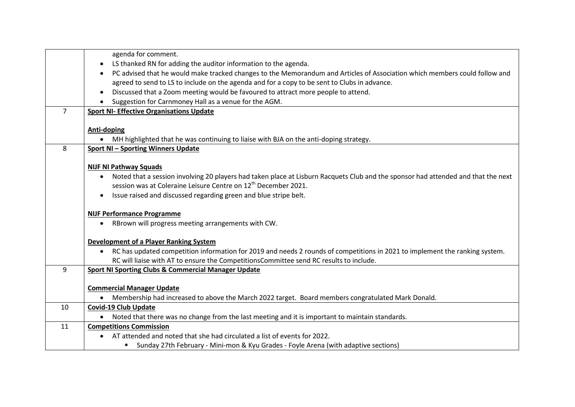|                | agenda for comment.                                                                                                                            |
|----------------|------------------------------------------------------------------------------------------------------------------------------------------------|
|                | LS thanked RN for adding the auditor information to the agenda.<br>$\bullet$                                                                   |
|                | PC advised that he would make tracked changes to the Memorandum and Articles of Association which members could follow and                     |
|                | agreed to send to LS to include on the agenda and for a copy to be sent to Clubs in advance.                                                   |
|                | Discussed that a Zoom meeting would be favoured to attract more people to attend.                                                              |
|                | Suggestion for Carnmoney Hall as a venue for the AGM.                                                                                          |
| $\overline{7}$ | <b>Sport NI- Effective Organisations Update</b>                                                                                                |
|                |                                                                                                                                                |
|                | Anti-doping                                                                                                                                    |
|                | MH highlighted that he was continuing to liaise with BJA on the anti-doping strategy.                                                          |
| 8              | <b>Sport NI-Sporting Winners Update</b>                                                                                                        |
|                |                                                                                                                                                |
|                | <b>NIJF NI Pathway Squads</b>                                                                                                                  |
|                | Noted that a session involving 20 players had taken place at Lisburn Racquets Club and the sponsor had attended and that the next<br>$\bullet$ |
|                | session was at Coleraine Leisure Centre on 12 <sup>th</sup> December 2021.                                                                     |
|                | Issue raised and discussed regarding green and blue stripe belt.<br>$\bullet$                                                                  |
|                |                                                                                                                                                |
|                | <b>NIJF Performance Programme</b>                                                                                                              |
|                | RBrown will progress meeting arrangements with CW.<br>$\bullet$                                                                                |
|                |                                                                                                                                                |
|                | <b>Development of a Player Ranking System</b>                                                                                                  |
|                | RC has updated competition information for 2019 and needs 2 rounds of competitions in 2021 to implement the ranking system.                    |
|                | RC will liaise with AT to ensure the CompetitionsCommittee send RC results to include.                                                         |
| 9              | <b>Sport NI Sporting Clubs &amp; Commercial Manager Update</b>                                                                                 |
|                |                                                                                                                                                |
|                | <b>Commercial Manager Update</b>                                                                                                               |
|                | Membership had increased to above the March 2022 target. Board members congratulated Mark Donald.                                              |
| 10             | <b>Covid-19 Club Update</b>                                                                                                                    |
|                | Noted that there was no change from the last meeting and it is important to maintain standards.                                                |
| 11             | <b>Competitions Commission</b>                                                                                                                 |
|                | AT attended and noted that she had circulated a list of events for 2022.                                                                       |
|                | " Sunday 27th February - Mini-mon & Kyu Grades - Foyle Arena (with adaptive sections)                                                          |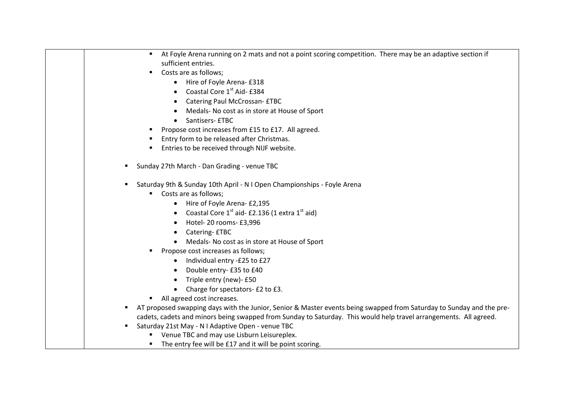| At Foyle Arena running on 2 mats and not a point scoring competition. There may be an adaptive section if<br>$\blacksquare$ |
|-----------------------------------------------------------------------------------------------------------------------------|
| sufficient entries.                                                                                                         |
| Costs are as follows;<br>٠                                                                                                  |
| Hire of Foyle Arena- £318<br>$\bullet$                                                                                      |
| Coastal Core 1st Aid- £384                                                                                                  |
| Catering Paul McCrossan- £TBC                                                                                               |
| Medals- No cost as in store at House of Sport                                                                               |
| Santisers- £TBC                                                                                                             |
| Propose cost increases from £15 to £17. All agreed.                                                                         |
| Entry form to be released after Christmas.<br>л.                                                                            |
| Entries to be received through NIJF website.                                                                                |
| Sunday 27th March - Dan Grading - venue TBC                                                                                 |
| Saturday 9th & Sunday 10th April - N I Open Championships - Foyle Arena<br>п                                                |
| Costs are as follows;<br>٠                                                                                                  |
| Hire of Foyle Arena- £2,195                                                                                                 |
| Coastal Core 1 <sup>st</sup> aid- £2.136 (1 extra 1 <sup>st</sup> aid)                                                      |
| Hotel-20 rooms- £3,996                                                                                                      |
| Catering- £TBC                                                                                                              |
| Medals- No cost as in store at House of Sport                                                                               |
| Propose cost increases as follows;<br>٠                                                                                     |
| Individual entry -£25 to £27                                                                                                |
| Double entry- £35 to £40                                                                                                    |
| Triple entry (new)- £50<br>$\bullet$                                                                                        |
| Charge for spectators- £2 to £3.                                                                                            |
| All agreed cost increases.                                                                                                  |
| AT proposed swapping days with the Junior, Senior & Master events being swapped from Saturday to Sunday and the pre-        |
| cadets, cadets and minors being swapped from Sunday to Saturday. This would help travel arrangements. All agreed.           |
| Saturday 21st May - N I Adaptive Open - venue TBC<br>٠                                                                      |
| " Venue TBC and may use Lisburn Leisureplex.                                                                                |
| The entry fee will be £17 and it will be point scoring.<br>п.                                                               |
|                                                                                                                             |